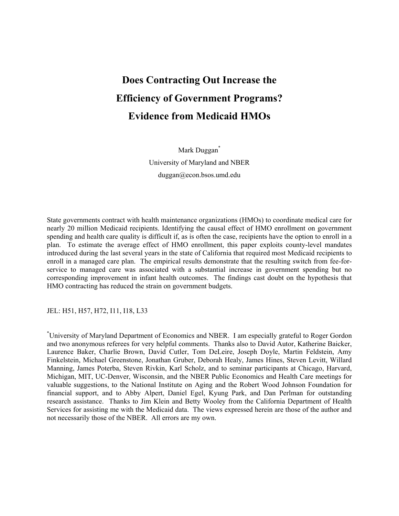# **Does Contracting Out Increase the Efficiency of Government Programs? Evidence from Medicaid HMOs**

Mark Duggan\* University of Maryland and NBER duggan@econ.bsos.umd.edu

State governments contract with health maintenance organizations (HMOs) to coordinate medical care for nearly 20 million Medicaid recipients. Identifying the causal effect of HMO enrollment on government spending and health care quality is difficult if, as is often the case, recipients have the option to enroll in a plan. To estimate the average effect of HMO enrollment, this paper exploits county-level mandates introduced during the last several years in the state of California that required most Medicaid recipients to enroll in a managed care plan. The empirical results demonstrate that the resulting switch from fee-forservice to managed care was associated with a substantial increase in government spending but no corresponding improvement in infant health outcomes. The findings cast doubt on the hypothesis that HMO contracting has reduced the strain on government budgets.

JEL: H51, H57, H72, I11, I18, L33

\* University of Maryland Department of Economics and NBER. I am especially grateful to Roger Gordon and two anonymous referees for very helpful comments. Thanks also to David Autor, Katherine Baicker, Laurence Baker, Charlie Brown, David Cutler, Tom DeLeire, Joseph Doyle, Martin Feldstein, Amy Finkelstein, Michael Greenstone, Jonathan Gruber, Deborah Healy, James Hines, Steven Levitt, Willard Manning, James Poterba, Steven Rivkin, Karl Scholz, and to seminar participants at Chicago, Harvard, Michigan, MIT, UC-Denver, Wisconsin, and the NBER Public Economics and Health Care meetings for valuable suggestions, to the National Institute on Aging and the Robert Wood Johnson Foundation for financial support, and to Abby Alpert, Daniel Egel, Kyung Park, and Dan Perlman for outstanding research assistance. Thanks to Jim Klein and Betty Wooley from the California Department of Health Services for assisting me with the Medicaid data. The views expressed herein are those of the author and not necessarily those of the NBER. All errors are my own.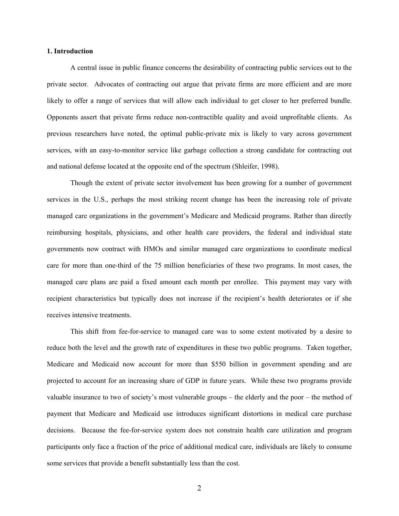#### **1. Introduction**

A central issue in public finance concerns the desirability of contracting public services out to the private sector. Advocates of contracting out argue that private firms are more efficient and are more likely to offer a range of services that will allow each individual to get closer to her preferred bundle. Opponents assert that private firms reduce non-contractible quality and avoid unprofitable clients. As previous researchers have noted, the optimal public-private mix is likely to vary across government services, with an easy-to-monitor service like garbage collection a strong candidate for contracting out and national defense located at the opposite end of the spectrum (Shleifer, 1998).

Though the extent of private sector involvement has been growing for a number of government services in the U.S., perhaps the most striking recent change has been the increasing role of private managed care organizations in the government's Medicare and Medicaid programs. Rather than directly reimbursing hospitals, physicians, and other health care providers, the federal and individual state governments now contract with HMOs and similar managed care organizations to coordinate medical care for more than one-third of the 75 million beneficiaries of these two programs. In most cases, the managed care plans are paid a fixed amount each month per enrollee. This payment may vary with recipient characteristics but typically does not increase if the recipient's health deteriorates or if she receives intensive treatments.

This shift from fee-for-service to managed care was to some extent motivated by a desire to reduce both the level and the growth rate of expenditures in these two public programs. Taken together, Medicare and Medicaid now account for more than \$550 billion in government spending and are projected to account for an increasing share of GDP in future years. While these two programs provide valuable insurance to two of society's most vulnerable groups – the elderly and the poor – the method of payment that Medicare and Medicaid use introduces significant distortions in medical care purchase decisions. Because the fee-for-service system does not constrain health care utilization and program participants only face a fraction of the price of additional medical care, individuals are likely to consume some services that provide a benefit substantially less than the cost.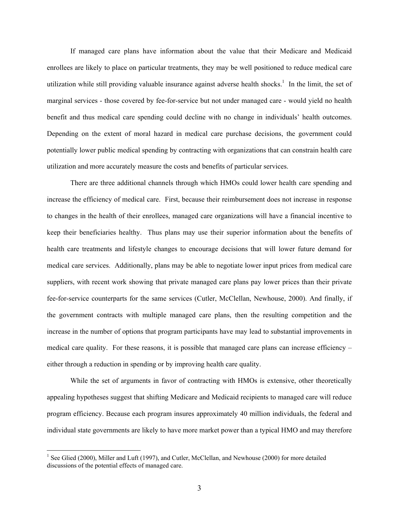If managed care plans have information about the value that their Medicare and Medicaid enrollees are likely to place on particular treatments, they may be well positioned to reduce medical care utilization while still providing valuable insurance against adverse health shocks.<sup>1</sup> In the limit, the set of marginal services - those covered by fee-for-service but not under managed care - would yield no health benefit and thus medical care spending could decline with no change in individuals' health outcomes. Depending on the extent of moral hazard in medical care purchase decisions, the government could potentially lower public medical spending by contracting with organizations that can constrain health care utilization and more accurately measure the costs and benefits of particular services.

There are three additional channels through which HMOs could lower health care spending and increase the efficiency of medical care. First, because their reimbursement does not increase in response to changes in the health of their enrollees, managed care organizations will have a financial incentive to keep their beneficiaries healthy. Thus plans may use their superior information about the benefits of health care treatments and lifestyle changes to encourage decisions that will lower future demand for medical care services. Additionally, plans may be able to negotiate lower input prices from medical care suppliers, with recent work showing that private managed care plans pay lower prices than their private fee-for-service counterparts for the same services (Cutler, McClellan, Newhouse, 2000). And finally, if the government contracts with multiple managed care plans, then the resulting competition and the increase in the number of options that program participants have may lead to substantial improvements in medical care quality. For these reasons, it is possible that managed care plans can increase efficiency – either through a reduction in spending or by improving health care quality.

While the set of arguments in favor of contracting with HMOs is extensive, other theoretically appealing hypotheses suggest that shifting Medicare and Medicaid recipients to managed care will reduce program efficiency. Because each program insures approximately 40 million individuals, the federal and individual state governments are likely to have more market power than a typical HMO and may therefore

<sup>&</sup>lt;sup>1</sup> See Glied (2000), Miller and Luft (1997), and Cutler, McClellan, and Newhouse (2000) for more detailed discussions of the potential effects of managed care.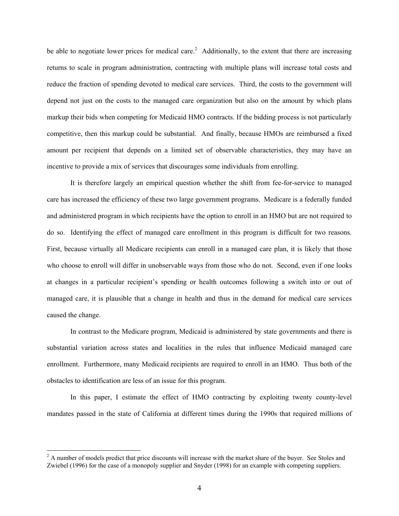be able to negotiate lower prices for medical care.<sup>2</sup> Additionally, to the extent that there are increasing returns to scale in program administration, contracting with multiple plans will increase total costs and reduce the fraction of spending devoted to medical care services. Third, the costs to the government will depend not just on the costs to the managed care organization but also on the amount by which plans markup their bids when competing for Medicaid HMO contracts. If the bidding process is not particularly competitive, then this markup could be substantial. And finally, because HMOs are reimbursed a fixed amount per recipient that depends on a limited set of observable characteristics, they may have an incentive to provide a mix of services that discourages some individuals from enrolling.

It is therefore largely an empirical question whether the shift from fee-for-service to managed care has increased the efficiency of these two large government programs. Medicare is a federally funded and administered program in which recipients have the option to enroll in an HMO but are not required to do so. Identifying the effect of managed care enrollment in this program is difficult for two reasons. First, because virtually all Medicare recipients can enroll in a managed care plan, it is likely that those who choose to enroll will differ in unobservable ways from those who do not. Second, even if one looks at changes in a particular recipient's spending or health outcomes following a switch into or out of managed care, it is plausible that a change in health and thus in the demand for medical care services caused the change.

In contrast to the Medicare program, Medicaid is administered by state governments and there is substantial variation across states and localities in the rules that influence Medicaid managed care enrollment. Furthermore, many Medicaid recipients are required to enroll in an HMO. Thus both of the obstacles to identification are less of an issue for this program.

In this paper, I estimate the effect of HMO contracting by exploiting twenty county-level mandates passed in the state of California at different times during the 1990s that required millions of

<sup>&</sup>lt;sup>2</sup> A number of models predict that price discounts will increase with the market share of the buyer. See Stoles and Zwiebel (1996) for the case of a monopoly supplier and Snyder (1998) for an example with competing suppliers.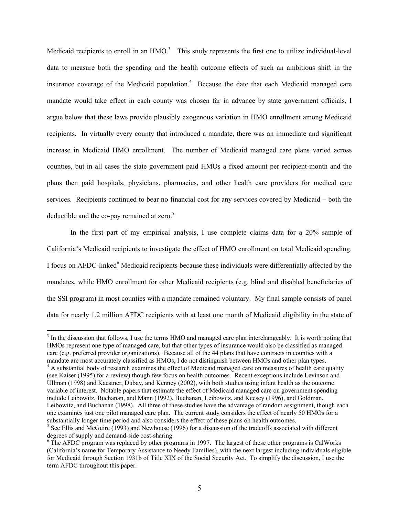Medicaid recipients to enroll in an  $HMO$ <sup>3</sup>. This study represents the first one to utilize individual-level data to measure both the spending and the health outcome effects of such an ambitious shift in the insurance coverage of the Medicaid population.<sup>4</sup> Because the date that each Medicaid managed care mandate would take effect in each county was chosen far in advance by state government officials, I argue below that these laws provide plausibly exogenous variation in HMO enrollment among Medicaid recipients. In virtually every county that introduced a mandate, there was an immediate and significant increase in Medicaid HMO enrollment. The number of Medicaid managed care plans varied across counties, but in all cases the state government paid HMOs a fixed amount per recipient-month and the plans then paid hospitals, physicians, pharmacies, and other health care providers for medical care services. Recipients continued to bear no financial cost for any services covered by Medicaid – both the deductible and the co-pay remained at zero.<sup>5</sup>

 In the first part of my empirical analysis, I use complete claims data for a 20% sample of California's Medicaid recipients to investigate the effect of HMO enrollment on total Medicaid spending. I focus on AFDC-linked<sup>6</sup> Medicaid recipients because these individuals were differentially affected by the mandates, while HMO enrollment for other Medicaid recipients (e.g. blind and disabled beneficiaries of the SSI program) in most counties with a mandate remained voluntary. My final sample consists of panel data for nearly 1.2 million AFDC recipients with at least one month of Medicaid eligibility in the state of

 $3$  In the discussion that follows, I use the terms HMO and managed care plan interchangeably. It is worth noting that HMOs represent one type of managed care, but that other types of insurance would also be classified as managed care (e.g. preferred provider organizations). Because all of the 44 plans that have contracts in counties with a mandate are most accurately classified as HMOs, I do not distinguish between HMOs and other plan types. 4

<sup>&</sup>lt;sup>4</sup> A substantial body of research examines the effect of Medicaid managed care on measures of health care quality (see Kaiser (1995) for a review) though few focus on health outcomes. Recent exceptions include Levinson and Ullman (1998) and Kaestner, Dubay, and Kenney (2002), with both studies using infant health as the outcome variable of interest. Notable papers that estimate the effect of Medicaid managed care on government spending include Leibowitz, Buchanan, and Mann (1992), Buchanan, Leibowitz, and Keesey (1996), and Goldman, Leibowitz, and Buchanan (1998). All three of these studies have the advantage of random assignment, though each one examines just one pilot managed care plan. The current study considers the effect of nearly 50 HMOs for a substantially longer time period and also considers the effect of these plans on health outcomes.

 $<sup>5</sup>$  See Ellis and McGuire (1993) and Newhouse (1996) for a discussion of the tradeoffs associated with different</sup> degrees of supply and demand-side cost-sharing.

<sup>&</sup>lt;sup>6</sup> The AFDC program was replaced by other programs in 1997. The largest of these other programs is CalWorks (California's name for Temporary Assistance to Needy Families), with the next largest including individuals eligible for Medicaid through Section 1931b of Title XIX of the Social Security Act. To simplify the discussion, I use the term AFDC throughout this paper.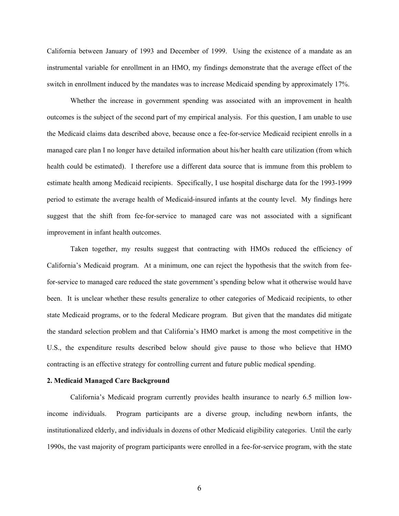California between January of 1993 and December of 1999. Using the existence of a mandate as an instrumental variable for enrollment in an HMO, my findings demonstrate that the average effect of the switch in enrollment induced by the mandates was to increase Medicaid spending by approximately 17%.

Whether the increase in government spending was associated with an improvement in health outcomes is the subject of the second part of my empirical analysis. For this question, I am unable to use the Medicaid claims data described above, because once a fee-for-service Medicaid recipient enrolls in a managed care plan I no longer have detailed information about his/her health care utilization (from which health could be estimated). I therefore use a different data source that is immune from this problem to estimate health among Medicaid recipients. Specifically, I use hospital discharge data for the 1993-1999 period to estimate the average health of Medicaid-insured infants at the county level. My findings here suggest that the shift from fee-for-service to managed care was not associated with a significant improvement in infant health outcomes.

Taken together, my results suggest that contracting with HMOs reduced the efficiency of California's Medicaid program. At a minimum, one can reject the hypothesis that the switch from feefor-service to managed care reduced the state government's spending below what it otherwise would have been. It is unclear whether these results generalize to other categories of Medicaid recipients, to other state Medicaid programs, or to the federal Medicare program. But given that the mandates did mitigate the standard selection problem and that California's HMO market is among the most competitive in the U.S., the expenditure results described below should give pause to those who believe that HMO contracting is an effective strategy for controlling current and future public medical spending.

# **2. Medicaid Managed Care Background**

California's Medicaid program currently provides health insurance to nearly 6.5 million lowincome individuals. Program participants are a diverse group, including newborn infants, the institutionalized elderly, and individuals in dozens of other Medicaid eligibility categories. Until the early 1990s, the vast majority of program participants were enrolled in a fee-for-service program, with the state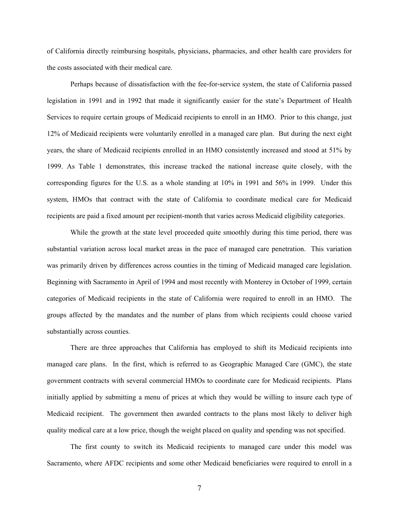of California directly reimbursing hospitals, physicians, pharmacies, and other health care providers for the costs associated with their medical care.

Perhaps because of dissatisfaction with the fee-for-service system, the state of California passed legislation in 1991 and in 1992 that made it significantly easier for the state's Department of Health Services to require certain groups of Medicaid recipients to enroll in an HMO. Prior to this change, just 12% of Medicaid recipients were voluntarily enrolled in a managed care plan. But during the next eight years, the share of Medicaid recipients enrolled in an HMO consistently increased and stood at 51% by 1999. As Table 1 demonstrates, this increase tracked the national increase quite closely, with the corresponding figures for the U.S. as a whole standing at 10% in 1991 and 56% in 1999. Under this system, HMOs that contract with the state of California to coordinate medical care for Medicaid recipients are paid a fixed amount per recipient-month that varies across Medicaid eligibility categories.

While the growth at the state level proceeded quite smoothly during this time period, there was substantial variation across local market areas in the pace of managed care penetration. This variation was primarily driven by differences across counties in the timing of Medicaid managed care legislation. Beginning with Sacramento in April of 1994 and most recently with Monterey in October of 1999, certain categories of Medicaid recipients in the state of California were required to enroll in an HMO. The groups affected by the mandates and the number of plans from which recipients could choose varied substantially across counties.

 There are three approaches that California has employed to shift its Medicaid recipients into managed care plans. In the first, which is referred to as Geographic Managed Care (GMC), the state government contracts with several commercial HMOs to coordinate care for Medicaid recipients. Plans initially applied by submitting a menu of prices at which they would be willing to insure each type of Medicaid recipient. The government then awarded contracts to the plans most likely to deliver high quality medical care at a low price, though the weight placed on quality and spending was not specified.

The first county to switch its Medicaid recipients to managed care under this model was Sacramento, where AFDC recipients and some other Medicaid beneficiaries were required to enroll in a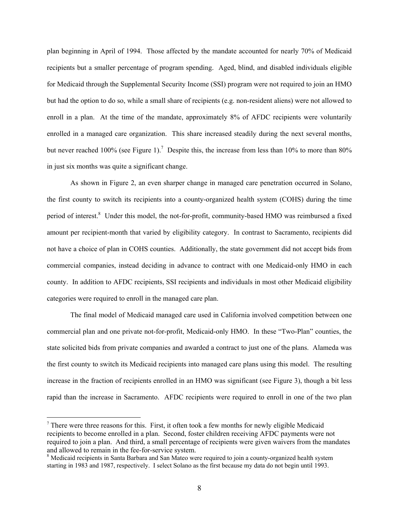plan beginning in April of 1994. Those affected by the mandate accounted for nearly 70% of Medicaid recipients but a smaller percentage of program spending. Aged, blind, and disabled individuals eligible for Medicaid through the Supplemental Security Income (SSI) program were not required to join an HMO but had the option to do so, while a small share of recipients (e.g. non-resident aliens) were not allowed to enroll in a plan. At the time of the mandate, approximately 8% of AFDC recipients were voluntarily enrolled in a managed care organization. This share increased steadily during the next several months, but never reached 100% (see Figure 1).<sup>7</sup> Despite this, the increase from less than 10% to more than 80% in just six months was quite a significant change.

 As shown in Figure 2, an even sharper change in managed care penetration occurred in Solano, the first county to switch its recipients into a county-organized health system (COHS) during the time period of interest.<sup>8</sup> Under this model, the not-for-profit, community-based HMO was reimbursed a fixed amount per recipient-month that varied by eligibility category. In contrast to Sacramento, recipients did not have a choice of plan in COHS counties. Additionally, the state government did not accept bids from commercial companies, instead deciding in advance to contract with one Medicaid-only HMO in each county. In addition to AFDC recipients, SSI recipients and individuals in most other Medicaid eligibility categories were required to enroll in the managed care plan.

 The final model of Medicaid managed care used in California involved competition between one commercial plan and one private not-for-profit, Medicaid-only HMO. In these "Two-Plan" counties, the state solicited bids from private companies and awarded a contract to just one of the plans. Alameda was the first county to switch its Medicaid recipients into managed care plans using this model. The resulting increase in the fraction of recipients enrolled in an HMO was significant (see Figure 3), though a bit less rapid than the increase in Sacramento. AFDC recipients were required to enroll in one of the two plan

<sup>&</sup>lt;sup>7</sup> There were three reasons for this. First, it often took a few months for newly eligible Medicaid recipients to become enrolled in a plan. Second, foster children receiving AFDC payments were not required to join a plan. And third, a small percentage of recipients were given waivers from the mandates and allowed to remain in the fee-for-service system.

<sup>&</sup>lt;sup>8</sup> Medicaid recipients in Santa Barbara and San Mateo were required to join a county-organized health system starting in 1983 and 1987, respectively. I select Solano as the first because my data do not begin until 1993.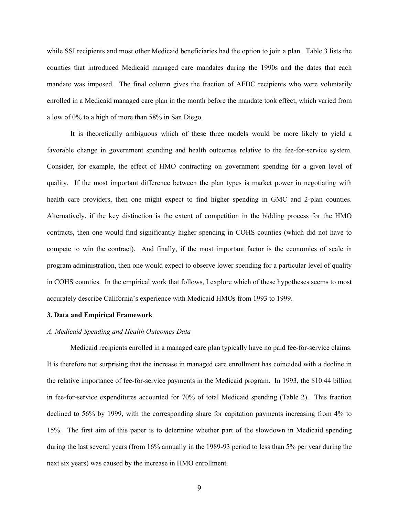while SSI recipients and most other Medicaid beneficiaries had the option to join a plan. Table 3 lists the counties that introduced Medicaid managed care mandates during the 1990s and the dates that each mandate was imposed. The final column gives the fraction of AFDC recipients who were voluntarily enrolled in a Medicaid managed care plan in the month before the mandate took effect, which varied from a low of 0% to a high of more than 58% in San Diego.

It is theoretically ambiguous which of these three models would be more likely to yield a favorable change in government spending and health outcomes relative to the fee-for-service system. Consider, for example, the effect of HMO contracting on government spending for a given level of quality. If the most important difference between the plan types is market power in negotiating with health care providers, then one might expect to find higher spending in GMC and 2-plan counties. Alternatively, if the key distinction is the extent of competition in the bidding process for the HMO contracts, then one would find significantly higher spending in COHS counties (which did not have to compete to win the contract). And finally, if the most important factor is the economies of scale in program administration, then one would expect to observe lower spending for a particular level of quality in COHS counties. In the empirical work that follows, I explore which of these hypotheses seems to most accurately describe California's experience with Medicaid HMOs from 1993 to 1999.

# **3. Data and Empirical Framework**

# *A. Medicaid Spending and Health Outcomes Data*

Medicaid recipients enrolled in a managed care plan typically have no paid fee-for-service claims. It is therefore not surprising that the increase in managed care enrollment has coincided with a decline in the relative importance of fee-for-service payments in the Medicaid program. In 1993, the \$10.44 billion in fee-for-service expenditures accounted for 70% of total Medicaid spending (Table 2). This fraction declined to 56% by 1999, with the corresponding share for capitation payments increasing from 4% to 15%. The first aim of this paper is to determine whether part of the slowdown in Medicaid spending during the last several years (from 16% annually in the 1989-93 period to less than 5% per year during the next six years) was caused by the increase in HMO enrollment.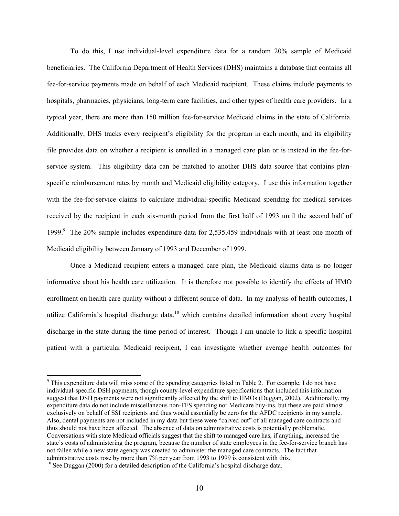To do this, I use individual-level expenditure data for a random 20% sample of Medicaid beneficiaries. The California Department of Health Services (DHS) maintains a database that contains all fee-for-service payments made on behalf of each Medicaid recipient. These claims include payments to hospitals, pharmacies, physicians, long-term care facilities, and other types of health care providers. In a typical year, there are more than 150 million fee-for-service Medicaid claims in the state of California. Additionally, DHS tracks every recipient's eligibility for the program in each month, and its eligibility file provides data on whether a recipient is enrolled in a managed care plan or is instead in the fee-forservice system. This eligibility data can be matched to another DHS data source that contains planspecific reimbursement rates by month and Medicaid eligibility category. I use this information together with the fee-for-service claims to calculate individual-specific Medicaid spending for medical services received by the recipient in each six-month period from the first half of 1993 until the second half of 1999.<sup>9</sup> The 20% sample includes expenditure data for 2,535,459 individuals with at least one month of Medicaid eligibility between January of 1993 and December of 1999.

Once a Medicaid recipient enters a managed care plan, the Medicaid claims data is no longer informative about his health care utilization. It is therefore not possible to identify the effects of HMO enrollment on health care quality without a different source of data. In my analysis of health outcomes, I utilize California's hospital discharge data, $^{10}$  which contains detailed information about every hospital discharge in the state during the time period of interest. Though I am unable to link a specific hospital patient with a particular Medicaid recipient, I can investigate whether average health outcomes for

<sup>&</sup>lt;sup>9</sup> This expenditure data will miss some of the spending categories listed in Table 2. For example, I do not have individual-specific DSH payments, though county-level expenditure specifications that included this information suggest that DSH payments were not significantly affected by the shift to HMOs (Duggan, 2002). Additionally, my expenditure data do not include miscellaneous non-FFS spending nor Medicare buy-ins, but these are paid almost exclusively on behalf of SSI recipients and thus would essentially be zero for the AFDC recipients in my sample. Also, dental payments are not included in my data but these were "carved out" of all managed care contracts and thus should not have been affected. The absence of data on administrative costs is potentially problematic. Conversations with state Medicaid officials suggest that the shift to managed care has, if anything, increased the state's costs of administering the program, because the number of state employees in the fee-for-service branch has not fallen while a new state agency was created to administer the managed care contracts. The fact that administrative costs rose by more than 7% per year from 1993 to 1999 is consistent with this.  $10$  See Duggan (2000) for a detailed description of the California's hospital discharge data.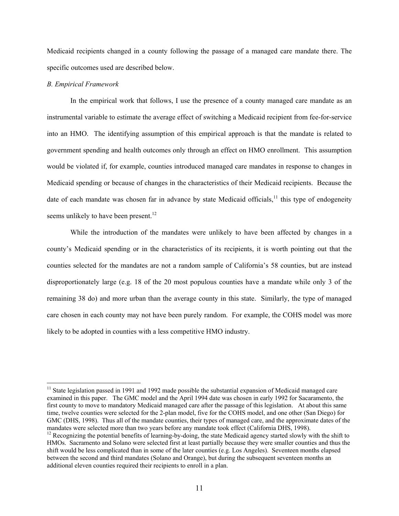Medicaid recipients changed in a county following the passage of a managed care mandate there. The specific outcomes used are described below.

#### *B. Empirical Framework*

 $\overline{a}$ 

In the empirical work that follows, I use the presence of a county managed care mandate as an instrumental variable to estimate the average effect of switching a Medicaid recipient from fee-for-service into an HMO. The identifying assumption of this empirical approach is that the mandate is related to government spending and health outcomes only through an effect on HMO enrollment. This assumption would be violated if, for example, counties introduced managed care mandates in response to changes in Medicaid spending or because of changes in the characteristics of their Medicaid recipients. Because the date of each mandate was chosen far in advance by state Medicaid officials, $11$  this type of endogeneity seems unlikely to have been present.<sup>12</sup>

 While the introduction of the mandates were unlikely to have been affected by changes in a county's Medicaid spending or in the characteristics of its recipients, it is worth pointing out that the counties selected for the mandates are not a random sample of California's 58 counties, but are instead disproportionately large (e.g. 18 of the 20 most populous counties have a mandate while only 3 of the remaining 38 do) and more urban than the average county in this state. Similarly, the type of managed care chosen in each county may not have been purely random. For example, the COHS model was more likely to be adopted in counties with a less competitive HMO industry.

 $<sup>11</sup>$  State legislation passed in 1991 and 1992 made possible the substantial expansion of Medicaid managed care</sup> examined in this paper. The GMC model and the April 1994 date was chosen in early 1992 for Sacaramento, the first county to move to mandatory Medicaid managed care after the passage of this legislation. At about this same time, twelve counties were selected for the 2-plan model, five for the COHS model, and one other (San Diego) for GMC (DHS, 1998). Thus all of the mandate counties, their types of managed care, and the approximate dates of the

mandates were selected more than two years before any mandate took effect (California DHS, 1998).<br><sup>12</sup> Recognizing the potential benefits of learning-by-doing, the state Medicaid agency started slowly with the shift to HMOs. Sacramento and Solano were selected first at least partially because they were smaller counties and thus the shift would be less complicated than in some of the later counties (e.g. Los Angeles). Seventeen months elapsed between the second and third mandates (Solano and Orange), but during the subsequent seventeen months an additional eleven counties required their recipients to enroll in a plan.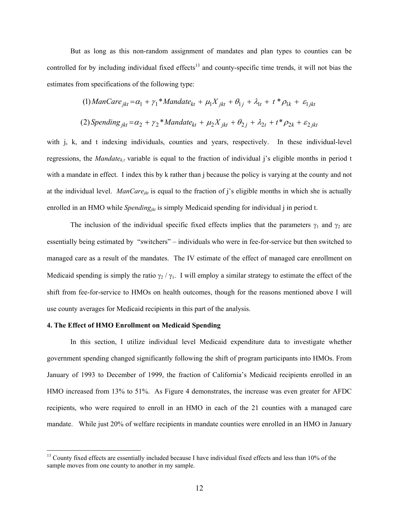But as long as this non-random assignment of mandates and plan types to counties can be controlled for by including individual fixed effects<sup>13</sup> and county-specific time trends, it will not bias the estimates from specifications of the following type:

(1) *ManCare<sub>jkt</sub>* = 
$$
\alpha_1 + \gamma_1^*
$$
 *Mandate<sub>kt</sub>* +  $\mu_1 X_{jkt} + \theta_{1j} + \lambda_{1t} + t^* \rho_{1k} + \varepsilon_{1jkt}$   
(2) *Spending<sub>jkt</sub>* =  $\alpha_2 + \gamma_2^*$  *Mandate<sub>kt</sub>* +  $\mu_2 X_{jkt} + \theta_{2j} + \lambda_{2t} + t^* \rho_{2k} + \varepsilon_{2jkt}$ 

with j, k, and t indexing individuals, counties and years, respectively. In these individual-level regressions, the *Mandate<sub>k,t</sub>* variable is equal to the fraction of individual j's eligible months in period t with a mandate in effect. I index this by k rather than j because the policy is varying at the county and not at the individual level. *ManCare<sub>ikt</sub>* is equal to the fraction of j's eligible months in which she is actually enrolled in an HMO while *Spending<sub>iki</sub>* is simply Medicaid spending for individual j in period t.

The inclusion of the individual specific fixed effects implies that the parameters  $\gamma_1$  and  $\gamma_2$  are essentially being estimated by "switchers" – individuals who were in fee-for-service but then switched to managed care as a result of the mandates. The IV estimate of the effect of managed care enrollment on Medicaid spending is simply the ratio  $\gamma_2 / \gamma_1$ . I will employ a similar strategy to estimate the effect of the shift from fee-for-service to HMOs on health outcomes, though for the reasons mentioned above I will use county averages for Medicaid recipients in this part of the analysis.

# **4. The Effect of HMO Enrollment on Medicaid Spending**

 $\overline{a}$ 

In this section, I utilize individual level Medicaid expenditure data to investigate whether government spending changed significantly following the shift of program participants into HMOs. From January of 1993 to December of 1999, the fraction of California's Medicaid recipients enrolled in an HMO increased from 13% to 51%. As Figure 4 demonstrates, the increase was even greater for AFDC recipients, who were required to enroll in an HMO in each of the 21 counties with a managed care mandate. While just 20% of welfare recipients in mandate counties were enrolled in an HMO in January

<sup>&</sup>lt;sup>13</sup> County fixed effects are essentially included because I have individual fixed effects and less than 10% of the sample moves from one county to another in my sample.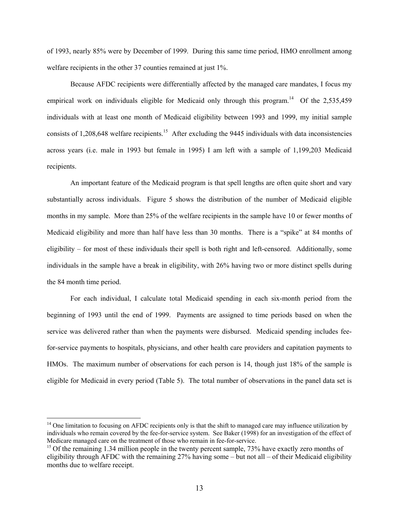of 1993, nearly 85% were by December of 1999. During this same time period, HMO enrollment among welfare recipients in the other 37 counties remained at just 1%.

Because AFDC recipients were differentially affected by the managed care mandates, I focus my empirical work on individuals eligible for Medicaid only through this program.<sup>14</sup> Of the 2,535,459 individuals with at least one month of Medicaid eligibility between 1993 and 1999, my initial sample consists of 1,208,648 welfare recipients.<sup>15</sup> After excluding the 9445 individuals with data inconsistencies across years (i.e. male in 1993 but female in 1995) I am left with a sample of 1,199,203 Medicaid recipients.

An important feature of the Medicaid program is that spell lengths are often quite short and vary substantially across individuals. Figure 5 shows the distribution of the number of Medicaid eligible months in my sample. More than 25% of the welfare recipients in the sample have 10 or fewer months of Medicaid eligibility and more than half have less than 30 months. There is a "spike" at 84 months of eligibility – for most of these individuals their spell is both right and left-censored. Additionally, some individuals in the sample have a break in eligibility, with 26% having two or more distinct spells during the 84 month time period.

 For each individual, I calculate total Medicaid spending in each six-month period from the beginning of 1993 until the end of 1999. Payments are assigned to time periods based on when the service was delivered rather than when the payments were disbursed. Medicaid spending includes feefor-service payments to hospitals, physicians, and other health care providers and capitation payments to HMOs. The maximum number of observations for each person is 14, though just 18% of the sample is eligible for Medicaid in every period (Table 5). The total number of observations in the panel data set is

<sup>&</sup>lt;sup>14</sup> One limitation to focusing on AFDC recipients only is that the shift to managed care may influence utilization by individuals who remain covered by the fee-for-service system. See Baker (1998) for an investigation of the effect of Medicare managed care on the treatment of those who remain in fee-for-service.

<sup>&</sup>lt;sup>15</sup> Of the remaining 1.34 million people in the twenty percent sample, 73% have exactly zero months of eligibility through AFDC with the remaining 27% having some – but not all – of their Medicaid eligibility months due to welfare receipt.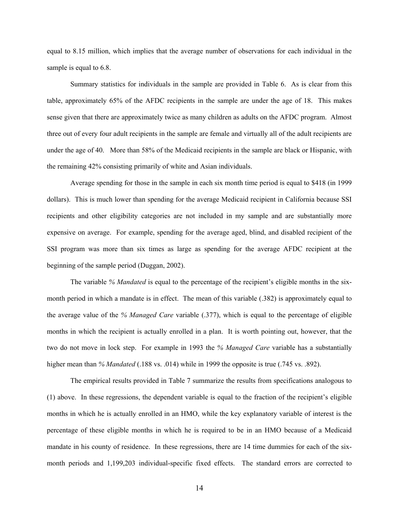equal to 8.15 million, which implies that the average number of observations for each individual in the sample is equal to 6.8.

Summary statistics for individuals in the sample are provided in Table 6. As is clear from this table, approximately 65% of the AFDC recipients in the sample are under the age of 18. This makes sense given that there are approximately twice as many children as adults on the AFDC program. Almost three out of every four adult recipients in the sample are female and virtually all of the adult recipients are under the age of 40. More than 58% of the Medicaid recipients in the sample are black or Hispanic, with the remaining 42% consisting primarily of white and Asian individuals.

 Average spending for those in the sample in each six month time period is equal to \$418 (in 1999 dollars). This is much lower than spending for the average Medicaid recipient in California because SSI recipients and other eligibility categories are not included in my sample and are substantially more expensive on average. For example, spending for the average aged, blind, and disabled recipient of the SSI program was more than six times as large as spending for the average AFDC recipient at the beginning of the sample period (Duggan, 2002).

 The variable *% Mandated* is equal to the percentage of the recipient's eligible months in the sixmonth period in which a mandate is in effect. The mean of this variable (.382) is approximately equal to the average value of the *% Managed Care* variable (.377), which is equal to the percentage of eligible months in which the recipient is actually enrolled in a plan. It is worth pointing out, however, that the two do not move in lock step. For example in 1993 the *% Managed Care* variable has a substantially higher mean than *% Mandated* (.188 vs. .014) while in 1999 the opposite is true (.745 vs. .892).

 The empirical results provided in Table 7 summarize the results from specifications analogous to (1) above. In these regressions, the dependent variable is equal to the fraction of the recipient's eligible months in which he is actually enrolled in an HMO, while the key explanatory variable of interest is the percentage of these eligible months in which he is required to be in an HMO because of a Medicaid mandate in his county of residence. In these regressions, there are 14 time dummies for each of the sixmonth periods and 1,199,203 individual-specific fixed effects. The standard errors are corrected to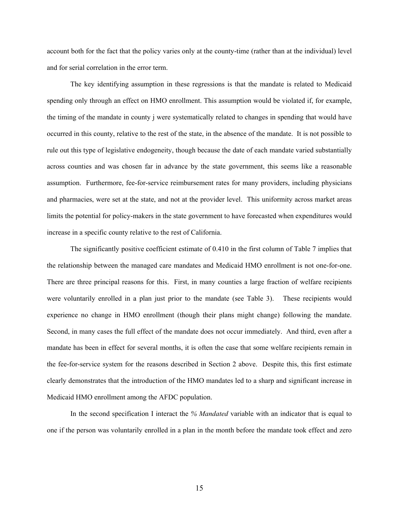account both for the fact that the policy varies only at the county-time (rather than at the individual) level and for serial correlation in the error term.

The key identifying assumption in these regressions is that the mandate is related to Medicaid spending only through an effect on HMO enrollment. This assumption would be violated if, for example, the timing of the mandate in county j were systematically related to changes in spending that would have occurred in this county, relative to the rest of the state, in the absence of the mandate. It is not possible to rule out this type of legislative endogeneity, though because the date of each mandate varied substantially across counties and was chosen far in advance by the state government, this seems like a reasonable assumption. Furthermore, fee-for-service reimbursement rates for many providers, including physicians and pharmacies, were set at the state, and not at the provider level. This uniformity across market areas limits the potential for policy-makers in the state government to have forecasted when expenditures would increase in a specific county relative to the rest of California.

The significantly positive coefficient estimate of 0.410 in the first column of Table 7 implies that the relationship between the managed care mandates and Medicaid HMO enrollment is not one-for-one. There are three principal reasons for this. First, in many counties a large fraction of welfare recipients were voluntarily enrolled in a plan just prior to the mandate (see Table 3). These recipients would experience no change in HMO enrollment (though their plans might change) following the mandate. Second, in many cases the full effect of the mandate does not occur immediately. And third, even after a mandate has been in effect for several months, it is often the case that some welfare recipients remain in the fee-for-service system for the reasons described in Section 2 above. Despite this, this first estimate clearly demonstrates that the introduction of the HMO mandates led to a sharp and significant increase in Medicaid HMO enrollment among the AFDC population.

In the second specification I interact the *% Mandated* variable with an indicator that is equal to one if the person was voluntarily enrolled in a plan in the month before the mandate took effect and zero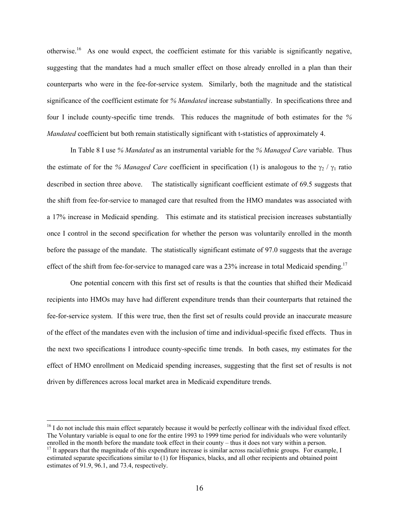otherwise.16 As one would expect, the coefficient estimate for this variable is significantly negative, suggesting that the mandates had a much smaller effect on those already enrolled in a plan than their counterparts who were in the fee-for-service system. Similarly, both the magnitude and the statistical significance of the coefficient estimate for *% Mandated* increase substantially. In specifications three and four I include county-specific time trends. This reduces the magnitude of both estimates for the *% Mandated* coefficient but both remain statistically significant with t-statistics of approximately 4.

In Table 8 I use *% Mandated* as an instrumental variable for the *% Managed Care* variable. Thus the estimate of for the % Managed Care coefficient in specification (1) is analogous to the  $\gamma_2$  /  $\gamma_1$  ratio described in section three above. The statistically significant coefficient estimate of 69.5 suggests that the shift from fee-for-service to managed care that resulted from the HMO mandates was associated with a 17% increase in Medicaid spending. This estimate and its statistical precision increases substantially once I control in the second specification for whether the person was voluntarily enrolled in the month before the passage of the mandate. The statistically significant estimate of 97.0 suggests that the average effect of the shift from fee-for-service to managed care was a 23% increase in total Medicaid spending.<sup>17</sup>

One potential concern with this first set of results is that the counties that shifted their Medicaid recipients into HMOs may have had different expenditure trends than their counterparts that retained the fee-for-service system. If this were true, then the first set of results could provide an inaccurate measure of the effect of the mandates even with the inclusion of time and individual-specific fixed effects. Thus in the next two specifications I introduce county-specific time trends. In both cases, my estimates for the effect of HMO enrollment on Medicaid spending increases, suggesting that the first set of results is not driven by differences across local market area in Medicaid expenditure trends.

 $16$  I do not include this main effect separately because it would be perfectly collinear with the individual fixed effect. The Voluntary variable is equal to one for the entire 1993 to 1999 time period for individuals who were voluntarily enrolled in the month before the mandate took effect in their county – thus it does not vary within a person.

<sup>&</sup>lt;sup>17</sup> It appears that the magnitude of this expenditure increase is similar across racial/ethnic groups. For example, I estimated separate specifications similar to (1) for Hispanics, blacks, and all other recipients and obtained point estimates of 91.9, 96.1, and 73.4, respectively.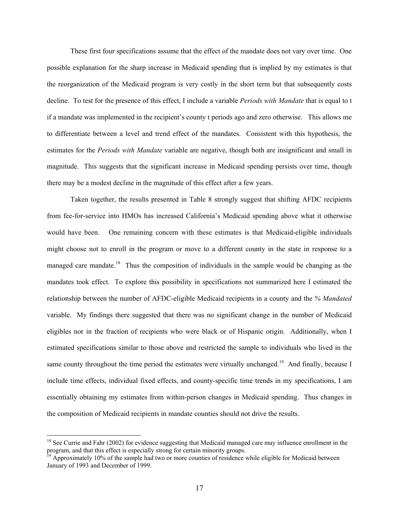These first four specifications assume that the effect of the mandate does not vary over time. One possible explanation for the sharp increase in Medicaid spending that is implied by my estimates is that the reorganization of the Medicaid program is very costly in the short term but that subsequently costs decline. To test for the presence of this effect, I include a variable *Periods with Mandate* that is equal to t if a mandate was implemented in the recipient's county t periods ago and zero otherwise. This allows me to differentiate between a level and trend effect of the mandates. Consistent with this hypothesis, the estimates for the *Periods with Mandate* variable are negative, though both are insignificant and small in magnitude. This suggests that the significant increase in Medicaid spending persists over time, though there may be a modest decline in the magnitude of this effect after a few years.

Taken together, the results presented in Table 8 strongly suggest that shifting AFDC recipients from fee-for-service into HMOs has increased California's Medicaid spending above what it otherwise would have been. One remaining concern with these estimates is that Medicaid-eligible individuals might choose not to enroll in the program or move to a different county in the state in response to a managed care mandate.<sup>18</sup> Thus the composition of individuals in the sample would be changing as the mandates took effect. To explore this possibility in specifications not summarized here I estimated the relationship between the number of AFDC-eligible Medicaid recipients in a county and the *% Mandated* variable. My findings there suggested that there was no significant change in the number of Medicaid eligibles nor in the fraction of recipients who were black or of Hispanic origin. Additionally, when I estimated specifications similar to those above and restricted the sample to individuals who lived in the same county throughout the time period the estimates were virtually unchanged.<sup>19</sup> And finally, because I include time effects, individual fixed effects, and county-specific time trends in my specifications, I am essentially obtaining my estimates from within-person changes in Medicaid spending. Thus changes in the composition of Medicaid recipients in mandate counties should not drive the results.

<sup>&</sup>lt;sup>18</sup> See Currie and Fahr (2002) for evidence suggesting that Medicaid managed care may influence enrollment in the program, and that this effect is especially strong for certain minority groups.<br><sup>19</sup> Approximately 10% of the sample had two or more counties of residence while eligible for Medicaid between

January of 1993 and December of 1999.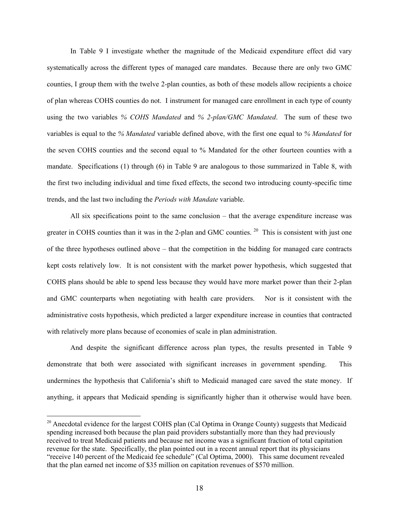In Table 9 I investigate whether the magnitude of the Medicaid expenditure effect did vary systematically across the different types of managed care mandates. Because there are only two GMC counties, I group them with the twelve 2-plan counties, as both of these models allow recipients a choice of plan whereas COHS counties do not. I instrument for managed care enrollment in each type of county using the two variables *% COHS Mandated* and *% 2-plan/GMC Mandated*. The sum of these two variables is equal to the *% Mandated* variable defined above, with the first one equal to *% Mandated* for the seven COHS counties and the second equal to % Mandated for the other fourteen counties with a mandate. Specifications (1) through (6) in Table 9 are analogous to those summarized in Table 8, with the first two including individual and time fixed effects, the second two introducing county-specific time trends, and the last two including the *Periods with Mandate* variable.

 All six specifications point to the same conclusion – that the average expenditure increase was greater in COHS counties than it was in the 2-plan and GMC counties. <sup>20</sup> This is consistent with just one of the three hypotheses outlined above – that the competition in the bidding for managed care contracts kept costs relatively low. It is not consistent with the market power hypothesis, which suggested that COHS plans should be able to spend less because they would have more market power than their 2-plan and GMC counterparts when negotiating with health care providers. Nor is it consistent with the administrative costs hypothesis, which predicted a larger expenditure increase in counties that contracted with relatively more plans because of economies of scale in plan administration.

 And despite the significant difference across plan types, the results presented in Table 9 demonstrate that both were associated with significant increases in government spending. This undermines the hypothesis that California's shift to Medicaid managed care saved the state money. If anything, it appears that Medicaid spending is significantly higher than it otherwise would have been.

<sup>&</sup>lt;sup>20</sup> Anecdotal evidence for the largest COHS plan (Cal Optima in Orange County) suggests that Medicaid spending increased both because the plan paid providers substantially more than they had previously received to treat Medicaid patients and because net income was a significant fraction of total capitation revenue for the state. Specifically, the plan pointed out in a recent annual report that its physicians "receive 140 percent of the Medicaid fee schedule" (Cal Optima, 2000). This same document revealed that the plan earned net income of \$35 million on capitation revenues of \$570 million.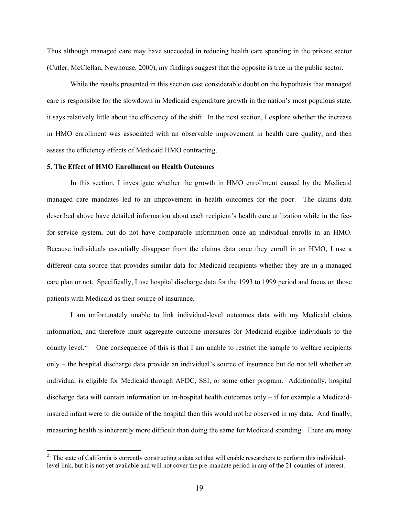Thus although managed care may have succeeded in reducing health care spending in the private sector (Cutler, McClellan, Newhouse, 2000), my findings suggest that the opposite is true in the public sector.

While the results presented in this section cast considerable doubt on the hypothesis that managed care is responsible for the slowdown in Medicaid expenditure growth in the nation's most populous state, it says relatively little about the efficiency of the shift. In the next section, I explore whether the increase in HMO enrollment was associated with an observable improvement in health care quality, and then assess the efficiency effects of Medicaid HMO contracting.

#### **5. The Effect of HMO Enrollment on Health Outcomes**

 $\overline{a}$ 

In this section, I investigate whether the growth in HMO enrollment caused by the Medicaid managed care mandates led to an improvement in health outcomes for the poor. The claims data described above have detailed information about each recipient's health care utilization while in the feefor-service system, but do not have comparable information once an individual enrolls in an HMO. Because individuals essentially disappear from the claims data once they enroll in an HMO, I use a different data source that provides similar data for Medicaid recipients whether they are in a managed care plan or not. Specifically, I use hospital discharge data for the 1993 to 1999 period and focus on those patients with Medicaid as their source of insurance.

I am unfortunately unable to link individual-level outcomes data with my Medicaid claims information, and therefore must aggregate outcome measures for Medicaid-eligible individuals to the county level.<sup>21</sup> One consequence of this is that I am unable to restrict the sample to welfare recipients only – the hospital discharge data provide an individual's source of insurance but do not tell whether an individual is eligible for Medicaid through AFDC, SSI, or some other program. Additionally, hospital discharge data will contain information on in-hospital health outcomes only – if for example a Medicaidinsured infant were to die outside of the hospital then this would not be observed in my data. And finally, measuring health is inherently more difficult than doing the same for Medicaid spending. There are many

 $21$  The state of California is currently constructing a data set that will enable researchers to perform this individuallevel link, but it is not yet available and will not cover the pre-mandate period in any of the 21 counties of interest.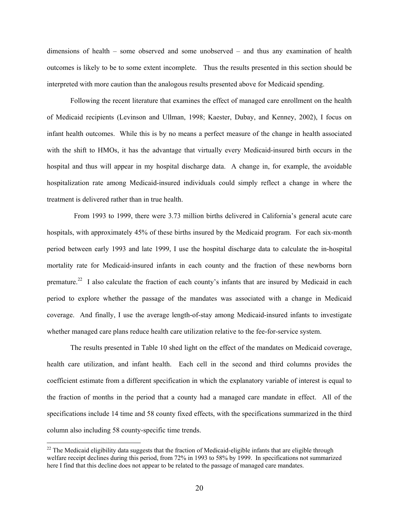dimensions of health – some observed and some unobserved – and thus any examination of health outcomes is likely to be to some extent incomplete. Thus the results presented in this section should be interpreted with more caution than the analogous results presented above for Medicaid spending.

Following the recent literature that examines the effect of managed care enrollment on the health of Medicaid recipients (Levinson and Ullman, 1998; Kaester, Dubay, and Kenney, 2002), I focus on infant health outcomes. While this is by no means a perfect measure of the change in health associated with the shift to HMOs, it has the advantage that virtually every Medicaid-insured birth occurs in the hospital and thus will appear in my hospital discharge data. A change in, for example, the avoidable hospitalization rate among Medicaid-insured individuals could simply reflect a change in where the treatment is delivered rather than in true health.

 From 1993 to 1999, there were 3.73 million births delivered in California's general acute care hospitals, with approximately 45% of these births insured by the Medicaid program. For each six-month period between early 1993 and late 1999, I use the hospital discharge data to calculate the in-hospital mortality rate for Medicaid-insured infants in each county and the fraction of these newborns born premature.22 I also calculate the fraction of each county's infants that are insured by Medicaid in each period to explore whether the passage of the mandates was associated with a change in Medicaid coverage. And finally, I use the average length-of-stay among Medicaid-insured infants to investigate whether managed care plans reduce health care utilization relative to the fee-for-service system.

The results presented in Table 10 shed light on the effect of the mandates on Medicaid coverage, health care utilization, and infant health. Each cell in the second and third columns provides the coefficient estimate from a different specification in which the explanatory variable of interest is equal to the fraction of months in the period that a county had a managed care mandate in effect. All of the specifications include 14 time and 58 county fixed effects, with the specifications summarized in the third column also including 58 county-specific time trends.

<sup>&</sup>lt;sup>22</sup> The Medicaid eligibility data suggests that the fraction of Medicaid-eligible infants that are eligible through welfare receipt declines during this period, from 72% in 1993 to 58% by 1999. In specifications not summarized here I find that this decline does not appear to be related to the passage of managed care mandates.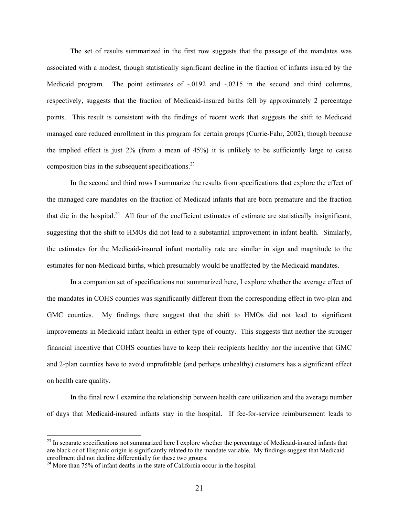The set of results summarized in the first row suggests that the passage of the mandates was associated with a modest, though statistically significant decline in the fraction of infants insured by the Medicaid program. The point estimates of -.0192 and -.0215 in the second and third columns, respectively, suggests that the fraction of Medicaid-insured births fell by approximately 2 percentage points. This result is consistent with the findings of recent work that suggests the shift to Medicaid managed care reduced enrollment in this program for certain groups (Currie-Fahr, 2002), though because the implied effect is just 2% (from a mean of 45%) it is unlikely to be sufficiently large to cause composition bias in the subsequent specifications.<sup>23</sup>

In the second and third rows I summarize the results from specifications that explore the effect of the managed care mandates on the fraction of Medicaid infants that are born premature and the fraction that die in the hospital.<sup>24</sup> All four of the coefficient estimates of estimate are statistically insignificant, suggesting that the shift to HMOs did not lead to a substantial improvement in infant health. Similarly, the estimates for the Medicaid-insured infant mortality rate are similar in sign and magnitude to the estimates for non-Medicaid births, which presumably would be unaffected by the Medicaid mandates.

In a companion set of specifications not summarized here, I explore whether the average effect of the mandates in COHS counties was significantly different from the corresponding effect in two-plan and GMC counties. My findings there suggest that the shift to HMOs did not lead to significant improvements in Medicaid infant health in either type of county. This suggests that neither the stronger financial incentive that COHS counties have to keep their recipients healthy nor the incentive that GMC and 2-plan counties have to avoid unprofitable (and perhaps unhealthy) customers has a significant effect on health care quality.

In the final row I examine the relationship between health care utilization and the average number of days that Medicaid-insured infants stay in the hospital. If fee-for-service reimbursement leads to

 $^{23}$  In separate specifications not summarized here I explore whether the percentage of Medicaid-insured infants that are black or of Hispanic origin is significantly related to the mandate variable. My findings suggest that Medicaid enrollment did not decline differentially for these two groups.

 $2<sup>24</sup>$  More than 75% of infant deaths in the state of California occur in the hospital.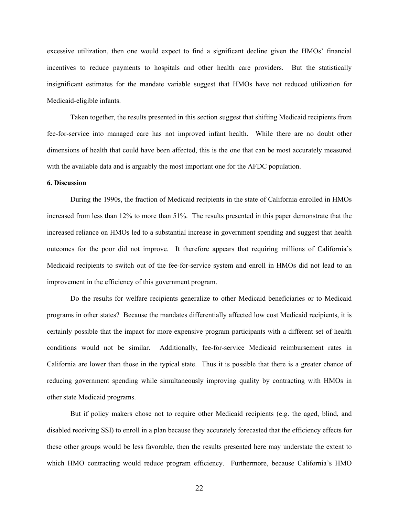excessive utilization, then one would expect to find a significant decline given the HMOs' financial incentives to reduce payments to hospitals and other health care providers. But the statistically insignificant estimates for the mandate variable suggest that HMOs have not reduced utilization for Medicaid-eligible infants.

Taken together, the results presented in this section suggest that shifting Medicaid recipients from fee-for-service into managed care has not improved infant health. While there are no doubt other dimensions of health that could have been affected, this is the one that can be most accurately measured with the available data and is arguably the most important one for the AFDC population.

# **6. Discussion**

During the 1990s, the fraction of Medicaid recipients in the state of California enrolled in HMOs increased from less than 12% to more than 51%. The results presented in this paper demonstrate that the increased reliance on HMOs led to a substantial increase in government spending and suggest that health outcomes for the poor did not improve. It therefore appears that requiring millions of California's Medicaid recipients to switch out of the fee-for-service system and enroll in HMOs did not lead to an improvement in the efficiency of this government program.

Do the results for welfare recipients generalize to other Medicaid beneficiaries or to Medicaid programs in other states? Because the mandates differentially affected low cost Medicaid recipients, it is certainly possible that the impact for more expensive program participants with a different set of health conditions would not be similar. Additionally, fee-for-service Medicaid reimbursement rates in California are lower than those in the typical state. Thus it is possible that there is a greater chance of reducing government spending while simultaneously improving quality by contracting with HMOs in other state Medicaid programs.

But if policy makers chose not to require other Medicaid recipients (e.g. the aged, blind, and disabled receiving SSI) to enroll in a plan because they accurately forecasted that the efficiency effects for these other groups would be less favorable, then the results presented here may understate the extent to which HMO contracting would reduce program efficiency. Furthermore, because California's HMO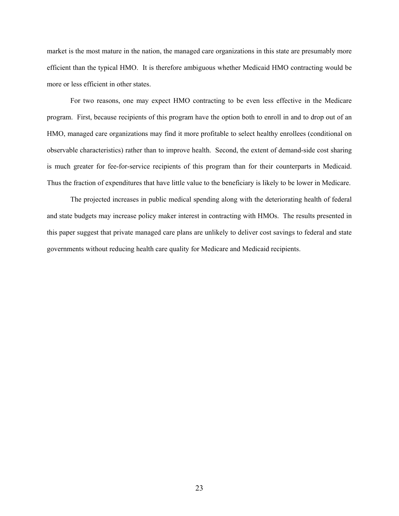market is the most mature in the nation, the managed care organizations in this state are presumably more efficient than the typical HMO. It is therefore ambiguous whether Medicaid HMO contracting would be more or less efficient in other states.

For two reasons, one may expect HMO contracting to be even less effective in the Medicare program. First, because recipients of this program have the option both to enroll in and to drop out of an HMO, managed care organizations may find it more profitable to select healthy enrollees (conditional on observable characteristics) rather than to improve health. Second, the extent of demand-side cost sharing is much greater for fee-for-service recipients of this program than for their counterparts in Medicaid. Thus the fraction of expenditures that have little value to the beneficiary is likely to be lower in Medicare.

 The projected increases in public medical spending along with the deteriorating health of federal and state budgets may increase policy maker interest in contracting with HMOs. The results presented in this paper suggest that private managed care plans are unlikely to deliver cost savings to federal and state governments without reducing health care quality for Medicare and Medicaid recipients.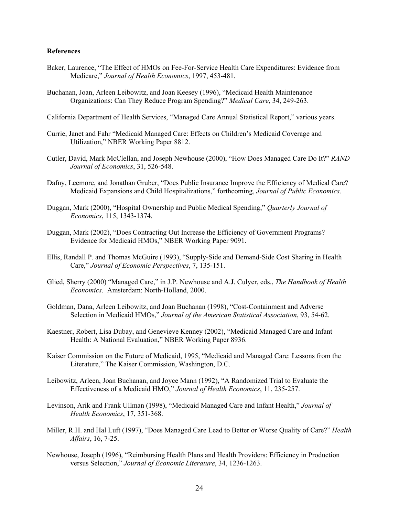# **References**

- Baker, Laurence, "The Effect of HMOs on Fee-For-Service Health Care Expenditures: Evidence from Medicare," *Journal of Health Economics*, 1997, 453-481.
- Buchanan, Joan, Arleen Leibowitz, and Joan Keesey (1996), "Medicaid Health Maintenance Organizations: Can They Reduce Program Spending?" *Medical Care*, 34, 249-263.
- California Department of Health Services, "Managed Care Annual Statistical Report," various years.
- Currie, Janet and Fahr "Medicaid Managed Care: Effects on Children's Medicaid Coverage and Utilization," NBER Working Paper 8812.
- Cutler, David, Mark McClellan, and Joseph Newhouse (2000), "How Does Managed Care Do It?" *RAND Journal of Economics*, 31, 526-548.
- Dafny, Leemore, and Jonathan Gruber, "Does Public Insurance Improve the Efficiency of Medical Care? Medicaid Expansions and Child Hospitalizations," forthcoming, *Journal of Public Economics*.
- Duggan, Mark (2000), "Hospital Ownership and Public Medical Spending," *Quarterly Journal of Economics*, 115, 1343-1374.
- Duggan, Mark (2002), "Does Contracting Out Increase the Efficiency of Government Programs? Evidence for Medicaid HMOs," NBER Working Paper 9091.
- Ellis, Randall P. and Thomas McGuire (1993), "Supply-Side and Demand-Side Cost Sharing in Health Care," *Journal of Economic Perspectives*, 7, 135-151.
- Glied, Sherry (2000) "Managed Care," in J.P. Newhouse and A.J. Culyer, eds., *The Handbook of Health Economics*. Amsterdam: North-Holland, 2000.
- Goldman, Dana, Arleen Leibowitz, and Joan Buchanan (1998), "Cost-Containment and Adverse Selection in Medicaid HMOs," *Journal of the American Statistical Association*, 93, 54-62.
- Kaestner, Robert, Lisa Dubay, and Genevieve Kenney (2002), "Medicaid Managed Care and Infant Health: A National Evaluation," NBER Working Paper 8936.
- Kaiser Commission on the Future of Medicaid, 1995, "Medicaid and Managed Care: Lessons from the Literature," The Kaiser Commission, Washington, D.C.
- Leibowitz, Arleen, Joan Buchanan, and Joyce Mann (1992), "A Randomized Trial to Evaluate the Effectiveness of a Medicaid HMO," *Journal of Health Economics*, 11, 235-257.
- Levinson, Arik and Frank Ullman (1998), "Medicaid Managed Care and Infant Health," *Journal of Health Economics*, 17, 351-368.
- Miller, R.H. and Hal Luft (1997), "Does Managed Care Lead to Better or Worse Quality of Care?" *Health Affairs*, 16, 7-25.
- Newhouse, Joseph (1996), "Reimbursing Health Plans and Health Providers: Efficiency in Production versus Selection," *Journal of Economic Literature*, 34, 1236-1263.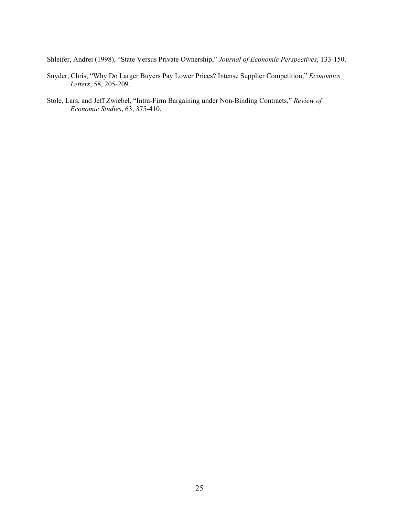Shleifer, Andrei (1998), "State Versus Private Ownership," *Journal of Economic Perspectives*, 133-150.

- Snyder, Chris, "Why Do Larger Buyers Pay Lower Prices? Intense Supplier Competition," *Economics Letters*, 58, 205-209.
- Stole, Lars, and Jeff Zwiebel, "Intra-Firm Bargaining under Non-Binding Contracts," *Review of Economic Studies*, 63, 375-410.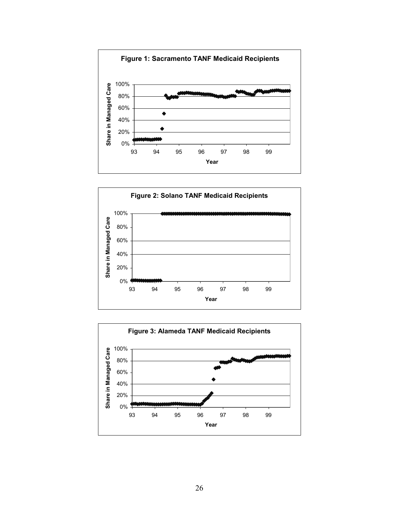



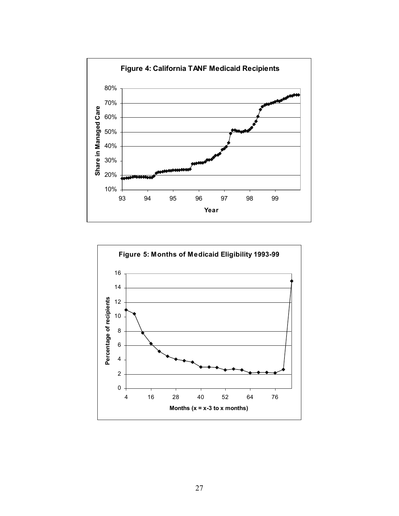

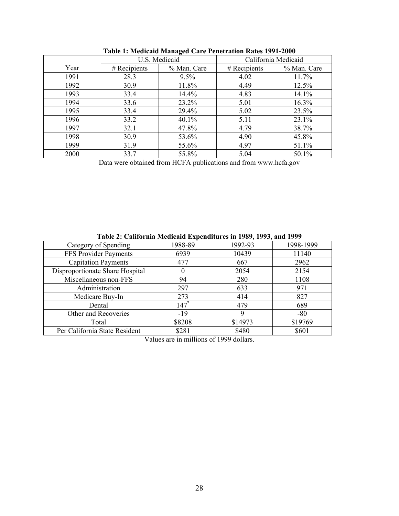|      |              | U.S. Medicaid |              | California Medicaid |
|------|--------------|---------------|--------------|---------------------|
| Year | # Recipients | % Man. Care   | # Recipients | % Man. Care         |
| 1991 | 28.3         | $9.5\%$       | 4.02         | 11.7%               |
| 1992 | 30.9         | 11.8%         | 4.49         | 12.5%               |
| 1993 | 33.4         | 14.4%         | 4.83         | 14.1%               |
| 1994 | 33.6         | 23.2%         | 5.01         | 16.3%               |
| 1995 | 33.4         | 29.4%         | 5.02         | 23.5%               |
| 1996 | 33.2         | 40.1%         | 5.11         | 23.1%               |
| 1997 | 32.1         | 47.8%         | 4.79         | 38.7%               |
| 1998 | 30.9         | 53.6%         | 4.90         | 45.8%               |
| 1999 | 31.9         | 55.6%         | 4.97         | 51.1%               |
| 2000 | 33.7         | 55.8%         | 5.04         | 50.1%               |

**Table 1: Medicaid Managed Care Penetration Rates 1991-2000** 

Data were obtained from HCFA publications and from www.hcfa.gov

| Table 2: California Medicald Expenditures in 1989, 1993, and 1999 |          |         |           |  |  |  |  |
|-------------------------------------------------------------------|----------|---------|-----------|--|--|--|--|
| Category of Spending                                              | 1988-89  | 1992-93 | 1998-1999 |  |  |  |  |
| FFS Provider Payments                                             | 6939     | 10439   | 11140     |  |  |  |  |
| <b>Capitation Payments</b>                                        | 477      | 667     | 2962      |  |  |  |  |
| Disproportionate Share Hospital                                   | $\theta$ | 2054    | 2154      |  |  |  |  |
| Miscellaneous non-FFS                                             | 94       | 280     | 1108      |  |  |  |  |
| Administration                                                    | 297      | 633     | 971       |  |  |  |  |
| Medicare Buy-In                                                   | 273      | 414     | 827       |  |  |  |  |
| Dental                                                            | $147*$   | 479     | 689       |  |  |  |  |
| Other and Recoveries                                              | $-19$    | 9       | $-80$     |  |  |  |  |
| Total                                                             | \$8208   | \$14973 | \$19769   |  |  |  |  |
| Per California State Resident                                     | \$281    | \$480   | \$601     |  |  |  |  |
|                                                                   |          |         |           |  |  |  |  |

**Table 2: California Medicaid Expenditures in 1989, 1993, and 1999** 

Values are in millions of 1999 dollars.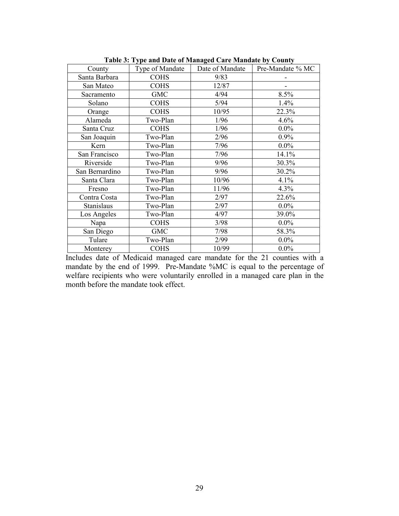| Tabit 9. Type and Date of Managed Care Mandate by County |                 |                 |                  |  |  |  |
|----------------------------------------------------------|-----------------|-----------------|------------------|--|--|--|
| County                                                   | Type of Mandate | Date of Mandate | Pre-Mandate % MC |  |  |  |
| Santa Barbara                                            | <b>COHS</b>     | 9/83            |                  |  |  |  |
| San Mateo                                                | <b>COHS</b>     | 12/87           |                  |  |  |  |
| Sacramento                                               | <b>GMC</b>      | 4/94            | 8.5%             |  |  |  |
| Solano                                                   | <b>COHS</b>     | 5/94            | 1.4%             |  |  |  |
| Orange                                                   | <b>COHS</b>     | 10/95           | 22.3%            |  |  |  |
| Alameda                                                  | Two-Plan        | 1/96            | 4.6%             |  |  |  |
| Santa Cruz                                               | <b>COHS</b>     | 1/96            | $0.0\%$          |  |  |  |
| San Joaquin                                              | Two-Plan        | 2/96            | $0.9\%$          |  |  |  |
| Kern                                                     | Two-Plan        | 7/96            | $0.0\%$          |  |  |  |
| San Francisco                                            | Two-Plan        | 7/96            | 14.1%            |  |  |  |
| Riverside                                                | Two-Plan        | 9/96            | 30.3%            |  |  |  |
| San Bernardino                                           | Two-Plan        | 9/96            | 30.2%            |  |  |  |
| Santa Clara                                              | Two-Plan        | 10/96           | 4.1%             |  |  |  |
| Fresno                                                   | Two-Plan        | 11/96           | 4.3%             |  |  |  |
| Contra Costa                                             | Two-Plan        | 2/97            | 22.6%            |  |  |  |
| <b>Stanislaus</b>                                        | Two-Plan        | 2/97            | $0.0\%$          |  |  |  |
| Los Angeles                                              | Two-Plan        | 4/97            | 39.0%            |  |  |  |
| Napa                                                     | <b>COHS</b>     | 3/98            | $0.0\%$          |  |  |  |
| San Diego                                                | <b>GMC</b>      | 7/98            | 58.3%            |  |  |  |
| Tulare                                                   | Two-Plan        | 2/99            | $0.0\%$          |  |  |  |
| Monterey                                                 | <b>COHS</b>     | 10/99           | $0.0\%$          |  |  |  |

**Table 3: Type and Date of Managed Care Mandate by County** 

Includes date of Medicaid managed care mandate for the 21 counties with a mandate by the end of 1999. Pre-Mandate %MC is equal to the percentage of welfare recipients who were voluntarily enrolled in a managed care plan in the month before the mandate took effect.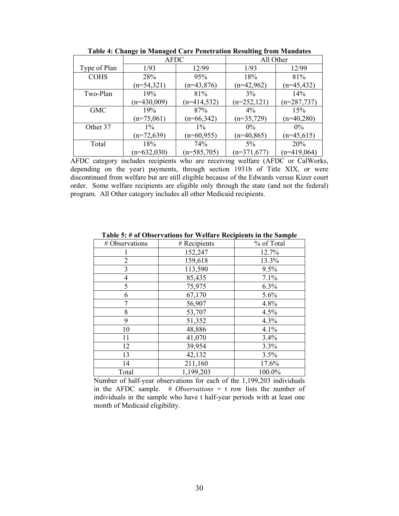|              | <b>AFDC</b>   |                | All Other      |                |  |
|--------------|---------------|----------------|----------------|----------------|--|
| Type of Plan | 1/93          | 12/99          | 1/93           | 12/99          |  |
| <b>COHS</b>  | 28%           | 95%            | 18%            | 81%            |  |
|              | $(n=54,321)$  | $(n=43,876)$   | $(n=42,962)$   | $(n=45, 432)$  |  |
| Two-Plan     | 19%           | 81%            | 3%             | 14%            |  |
|              | $(n=430,009)$ | $(n=414, 532)$ | $(n=252, 121)$ | $(n=287, 737)$ |  |
| <b>GMC</b>   | 19%           | 87%            | $4\%$          | 15%            |  |
|              | $(n=75,061)$  | $(n=66,342)$   | $(n=35,729)$   | $(n=40,280)$   |  |
| Other 37     | $1\%$         | $1\%$          | $0\%$          | $0\%$          |  |
|              | $(n=72,639)$  | $(n=60,955)$   | $(n=40,865)$   | $(n=45,615)$   |  |
| Total        | 18%           | 74%            | $5\%$          | 20%            |  |
|              | $(n=632,030)$ | $(n=585,705)$  | $(n=371,677)$  | $(n=419,064)$  |  |

**Table 4: Change in Managed Care Penetration Resulting from Mandates** 

AFDC category includes recipients who are receiving welfare (AFDC or CalWorks, depending on the year) payments, through section 1931b of Title XIX, or were discontinued from welfare but are still eligible because of the Edwards versus Kizer court order. Some welfare recipients are eligible only through the state (and not the federal) program. All Other category includes all other Medicaid recipients.

| # Observations | # Recipients | % of Total |
|----------------|--------------|------------|
|                | 152,247      | 12.7%      |
| 2              | 159,618      | 13.3%      |
| 3              | 113,590      | 9.5%       |
| 4              | 85,435       | 7.1%       |
| 5              | 75,975       | 6.3%       |
| 6              | 67,170       | 5.6%       |
| 7              | 56,907       | 4.8%       |
| 8              | 53,707       | 4.5%       |
| 9              | 51,352       | 4.3%       |
| 10             | 48,886       | 4.1%       |
| 11             | 41,070       | 3.4%       |
| 12             | 39,954       | 3.3%       |
| 13             | 42,132       | 3.5%       |
| 14             | 211,160      | 17.6%      |
| Total          | 1,199,203    | 100.0%     |

**Table 5: # of Observations for Welfare Recipients in the Sample** 

Number of half-year observations for each of the 1,199,203 individuals in the AFDC sample. *# Observations* = t row lists the number of individuals in the sample who have t half-year periods with at least one month of Medicaid eligibility.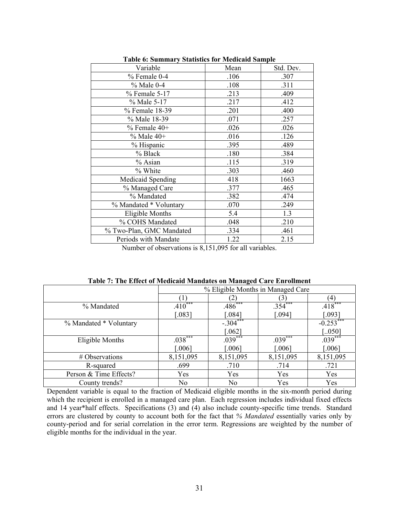|                                                                                                                                                                                                                                                                                                                                    | I apit 0. Summary Statistics for Friedream Sample |                         |  |  |  |  |  |
|------------------------------------------------------------------------------------------------------------------------------------------------------------------------------------------------------------------------------------------------------------------------------------------------------------------------------------|---------------------------------------------------|-------------------------|--|--|--|--|--|
| Variable                                                                                                                                                                                                                                                                                                                           | Mean                                              | Std. Dev.               |  |  |  |  |  |
| % Female 0-4                                                                                                                                                                                                                                                                                                                       | .106                                              | .307                    |  |  |  |  |  |
| % Male 0-4                                                                                                                                                                                                                                                                                                                         | .108                                              | .311                    |  |  |  |  |  |
| % Female 5-17                                                                                                                                                                                                                                                                                                                      | .213                                              | .409                    |  |  |  |  |  |
| % Male 5-17                                                                                                                                                                                                                                                                                                                        | .217                                              | .412                    |  |  |  |  |  |
| % Female 18-39                                                                                                                                                                                                                                                                                                                     | .201                                              | .400                    |  |  |  |  |  |
| % Male 18-39                                                                                                                                                                                                                                                                                                                       | .071                                              | .257                    |  |  |  |  |  |
| $%$ Female $40+$                                                                                                                                                                                                                                                                                                                   | .026                                              | .026                    |  |  |  |  |  |
| $%$ Male 40+                                                                                                                                                                                                                                                                                                                       | .016                                              | .126                    |  |  |  |  |  |
| % Hispanic                                                                                                                                                                                                                                                                                                                         | .395                                              | .489                    |  |  |  |  |  |
| % Black                                                                                                                                                                                                                                                                                                                            | .180                                              | .384                    |  |  |  |  |  |
| % Asian                                                                                                                                                                                                                                                                                                                            | .115                                              | .319                    |  |  |  |  |  |
| % White                                                                                                                                                                                                                                                                                                                            | .303                                              | .460                    |  |  |  |  |  |
| Medicaid Spending                                                                                                                                                                                                                                                                                                                  | 418                                               | 1663                    |  |  |  |  |  |
| % Managed Care                                                                                                                                                                                                                                                                                                                     | .377                                              | .465                    |  |  |  |  |  |
| % Mandated                                                                                                                                                                                                                                                                                                                         | .382                                              | .474                    |  |  |  |  |  |
| % Mandated * Voluntary                                                                                                                                                                                                                                                                                                             | .070                                              | .249                    |  |  |  |  |  |
| Eligible Months                                                                                                                                                                                                                                                                                                                    | 5.4                                               | 1.3                     |  |  |  |  |  |
| % COHS Mandated                                                                                                                                                                                                                                                                                                                    | .048                                              | .210                    |  |  |  |  |  |
| % Two-Plan, GMC Mandated                                                                                                                                                                                                                                                                                                           | .334                                              | .461                    |  |  |  |  |  |
| Periods with Mandate                                                                                                                                                                                                                                                                                                               | 1.22                                              | 2.15                    |  |  |  |  |  |
| $\mathbf{r}$ $\mathbf{r}$ $\mathbf{r}$ $\mathbf{r}$ $\mathbf{r}$ $\mathbf{r}$ $\mathbf{r}$ $\mathbf{r}$ $\mathbf{r}$ $\mathbf{r}$ $\mathbf{r}$ $\mathbf{r}$ $\mathbf{r}$ $\mathbf{r}$ $\mathbf{r}$ $\mathbf{r}$ $\mathbf{r}$ $\mathbf{r}$ $\mathbf{r}$ $\mathbf{r}$ $\mathbf{r}$ $\mathbf{r}$ $\mathbf{r}$ $\mathbf{r}$ $\mathbf{$ | $\mathbf{H}$                                      | $\cdot$ $\cdot$ $\cdot$ |  |  |  |  |  |

**Table 6: Summary Statistics for Medicaid Sample** 

Number of observations is 8,151,095 for all variables.

|                        | % Eligible Months in Managed Care |           |           |                          |  |
|------------------------|-----------------------------------|-----------|-----------|--------------------------|--|
|                        |                                   |           |           | (4)                      |  |
| % Mandated             | $.410***$                         | $.486***$ | $.354***$ | $.418***$                |  |
|                        | 0831                              | .084]     | 094       | [.093]                   |  |
| % Mandated * Voluntary |                                   | $-304***$ |           | $-0.253***$              |  |
|                        |                                   | 062]      |           |                          |  |
| Eligible Months        | $.038***$                         | $.039***$ | $.039***$ | $\frac{[.050]}{.039***}$ |  |
|                        | 006                               | 006       | 006       | 006                      |  |
| # Observations         | 8,151,095                         | 8,151,095 | 8,151,095 | 8,151,095                |  |
| R-squared              | .699                              | .710      | .714      | .721                     |  |
| Person & Time Effects? | Yes                               | Yes       | Yes       | Yes                      |  |
| County trends?         | No                                | No        | Yes       | Yes                      |  |

**Table 7: The Effect of Medicaid Mandates on Managed Care Enrollment** 

Dependent variable is equal to the fraction of Medicaid eligible months in the six-month period during which the recipient is enrolled in a managed care plan. Each regression includes individual fixed effects and 14 year\*half effects. Specifications (3) and (4) also include county-specific time trends. Standard errors are clustered by county to account both for the fact that *% Mandated* essentially varies only by county-period and for serial correlation in the error term. Regressions are weighted by the number of eligible months for the individual in the year.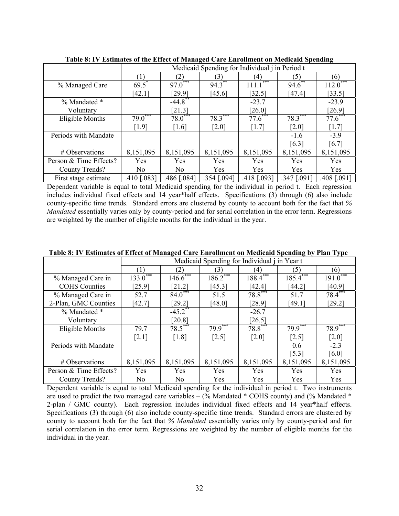|                        | Tuble of 14 Elements of the Effect of Finance out of Embolished on Fittwithin Spenting |                     |             |              |            |             |
|------------------------|----------------------------------------------------------------------------------------|---------------------|-------------|--------------|------------|-------------|
|                        | Medicaid Spending for Individual j in Period t                                         |                     |             |              |            |             |
|                        |                                                                                        | (2)                 | (3)         | (4)          | (5)        | (6)         |
| % Managed Care         | $69.5^*$                                                                               | $97.0***$           | $94.3***$   | ***<br>111.1 | $94.6$ **  | $112.0***$  |
|                        | [42.1]                                                                                 | [29.9]              | [45.6]      | [32.5]       | [47.4]     | [33.5]      |
| % Mandated *           |                                                                                        | $-44.8$ **          |             | $-23.7$      |            | $-23.9$     |
| Voluntary              |                                                                                        | [21.3]              |             | [26.0]       |            | [26.9]      |
| Eligible Months        | $79.0***$                                                                              | $78.0***$           | $78.3***$   | $77.6***$    | $78.3***$  | $77.6***$   |
|                        | [1.9]                                                                                  | $\lceil 1.6 \rceil$ | [2.0]       | [1.7]        | $[2.0]$    | [1.7]       |
| Periods with Mandate   |                                                                                        |                     |             |              | $-1.6$     | $-3.9$      |
|                        |                                                                                        |                     |             |              | [6.3]      | [6.7]       |
| # Observations         | 8,151,095                                                                              | 8,151,095           | 8,151,095   | 8,151,095    | 8,151,095  | 8,151,095   |
| Person & Time Effects? | Yes                                                                                    | Yes                 | Yes         | <b>Yes</b>   | <b>Yes</b> | Yes         |
| County Trends?         | N <sub>0</sub>                                                                         | N <sub>0</sub>      | Yes         | Yes          | Yes        | Yes         |
| First stage estimate   | .410 [.083]                                                                            | .486 [.084]         | .354 [.094] | .418 [.093]  | .347 [.091 | .408 [.091] |

**Table 8: IV Estimates of the Effect of Managed Care Enrollment on Medicaid Spending** 

Dependent variable is equal to total Medicaid spending for the individual in period t. Each regression includes individual fixed effects and 14 year\*half effects. Specifications (3) through (6) also include county-specific time trends. Standard errors are clustered by county to account both for the fact that *% Mandated* essentially varies only by county-period and for serial correlation in the error term. Regressions are weighted by the number of eligible months for the individual in the year.

|                        |                    | Medicaid Spending for Individual j in Year t |            |              |            |                          |
|------------------------|--------------------|----------------------------------------------|------------|--------------|------------|--------------------------|
|                        |                    | (2)                                          | (3)        | (4)          | (5)        | (6)                      |
| % Managed Care in      | $133.0***$         | $146.6$ ***                                  | $186.2***$ | ***<br>188.4 | $185.4***$ | ***<br>$191.0^{\degree}$ |
| <b>COHS</b> Counties   | [25.9]             | $[21.2]$                                     | [45.3]     | [42.4]       | [44.2]     | [40.9]                   |
| % Managed Care in      | 52.7               | $84.0***$                                    | 51.5       | $78.8***$    | 51.7       | $78.4***$                |
| 2-Plan, GMC Counties   | [42.7]             | $[29.2]$                                     | [48.0]     | [28.9]       | [49.1]     | [29.2]                   |
| % Mandated *           |                    | $-45.2$ **                                   |            | $-26.7$      |            |                          |
| Voluntary              |                    | [20.8]                                       |            | [26.5]       |            |                          |
| Eligible Months        | 79.7               | $78.5***$                                    | $79.9***$  | $78.8***$    | $79.9***$  | $78.9***$                |
|                        | $\left[2.1\right]$ | $\lceil 1.8 \rceil$                          | $[2.5]$    | $[2.0]$      | $[2.5]$    | $[2.0]$                  |
| Periods with Mandate   |                    |                                              |            |              | 0.6        | $-2.3$                   |
|                        |                    |                                              |            |              | [5.3]      | [6.0]                    |
| # Observations         | 8,151,095          | 8,151,095                                    | 8,151,095  | 8,151,095    | 8,151,095  | 8,151,095                |
| Person & Time Effects? | Yes                | Yes                                          | Yes        | Yes          | Yes        | Yes                      |
| County Trends?         | No                 | No                                           | Yes        | Yes          | Yes        | Yes                      |

**Table 8: IV Estimates of Effect of Managed Care Enrollment on Medicaid Spending by Plan Type** 

Dependent variable is equal to total Medicaid spending for the individual in period t. Two instruments are used to predict the two managed care variables  $-$  (% Mandated  $*$  COHS county) and (% Mandated  $*$ 2-plan / GMC county). Each regression includes individual fixed effects and 14 year\*half effects. Specifications (3) through (6) also include county-specific time trends. Standard errors are clustered by county to account both for the fact that *% Mandated* essentially varies only by county-period and for serial correlation in the error term. Regressions are weighted by the number of eligible months for the individual in the year.